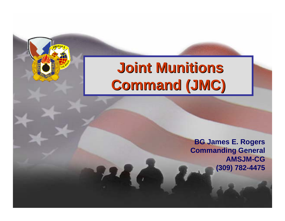# **Joint Munitions Joint Munitions Command (JMC) Command (JMC)**

**BG James E. Rogers Commanding General AMSJM-CG (309) 782-4475**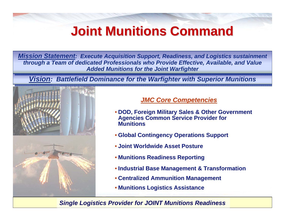## **Joint Munitions Command Joint Munitions Command**

*Mission Statement: Execute Acquisition Support, Readiness, and Logistics sustainment Mission Statement: Execute Acquisition Support, Readiness, and Logistics sustainment through a Team of dedicated Professionals who Provide Effective, Available, and Value through a Team of dedicated Professionals who Provide Effective, Available, and Value Added Munitions for the Joint Warfighter Added Munitions for the Joint Warfighter* 

*<u>Vision</u>: Battlefield Dominance for the Warfighter with Superior Munitions* 



#### *JMC Core Competencies*

- **DOD, Foreign Military Sales & Other Government Agencies Common Service Provider for Munitions**
- **Global Contingency Operations Support**
- **Joint Worldwide Asset Posture**
- **Munitions Readiness Reporting**
- **Industrial Base Management & Transformation**
- **Centralized Ammunition Management**
- **Munitions Logistics Assistance**

*Single Logistics Provider for JOINT Munitions Readiness*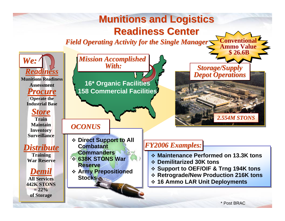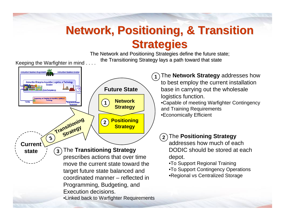### **Network, Positioning, & Transition Strategies Strategies**

The Network and Positioning Strategies define the future state; the Transitioning Strategy lays a path toward that state

Keeping the Warfighter in mind . . . .



The **Network Strategy** addresses how

to best employ the current installation base in carrying out the wholesale logistics function.

•Capable of meeting Warfighter Contingency and Training Requirements •Economically Efficient

#### **2** The **Positioning Strategy**

addresses how much of each DODIC should be stored at each depot.

•To Support Regional Training

•To Support Contingency Operations •Regional vs Centralized Storage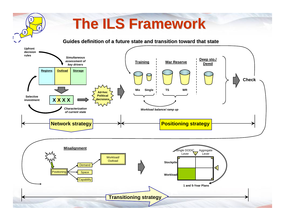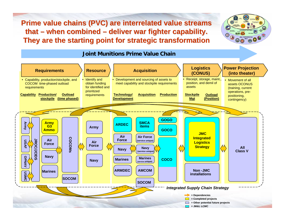**Prime value chains (PVC) are interrelated value streams that – when combined – deliver war fighter capability. They are the starting point for strategic transformation** 



#### **Joint Munitions Prime Value Chain**